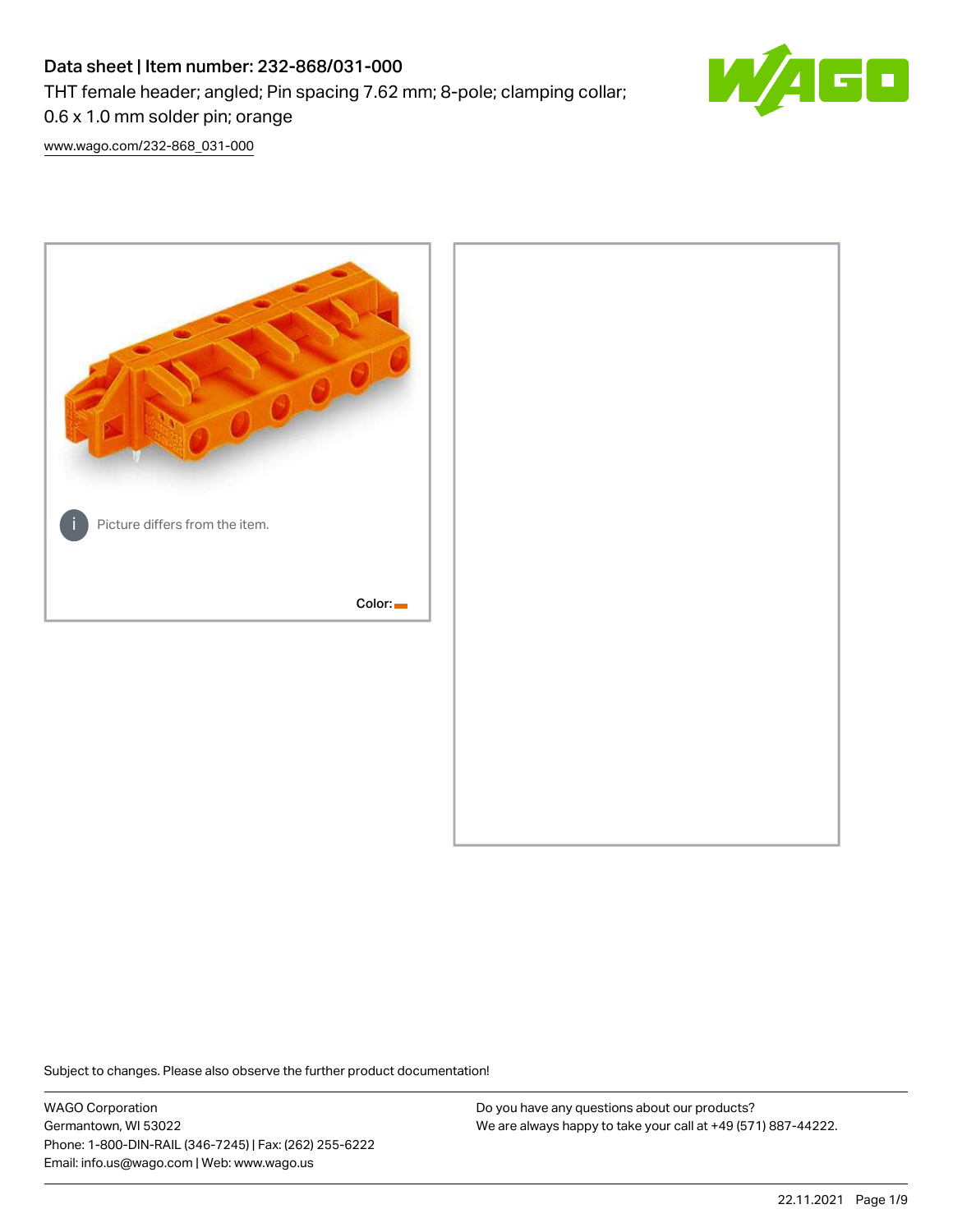# Data sheet | Item number: 232-868/031-000

THT female header; angled; Pin spacing 7.62 mm; 8-pole; clamping collar;



0.6 x 1.0 mm solder pin; orange

[www.wago.com/232-868\\_031-000](http://www.wago.com/232-868_031-000)



Subject to changes. Please also observe the further product documentation!

WAGO Corporation Germantown, WI 53022 Phone: 1-800-DIN-RAIL (346-7245) | Fax: (262) 255-6222 Email: info.us@wago.com | Web: www.wago.us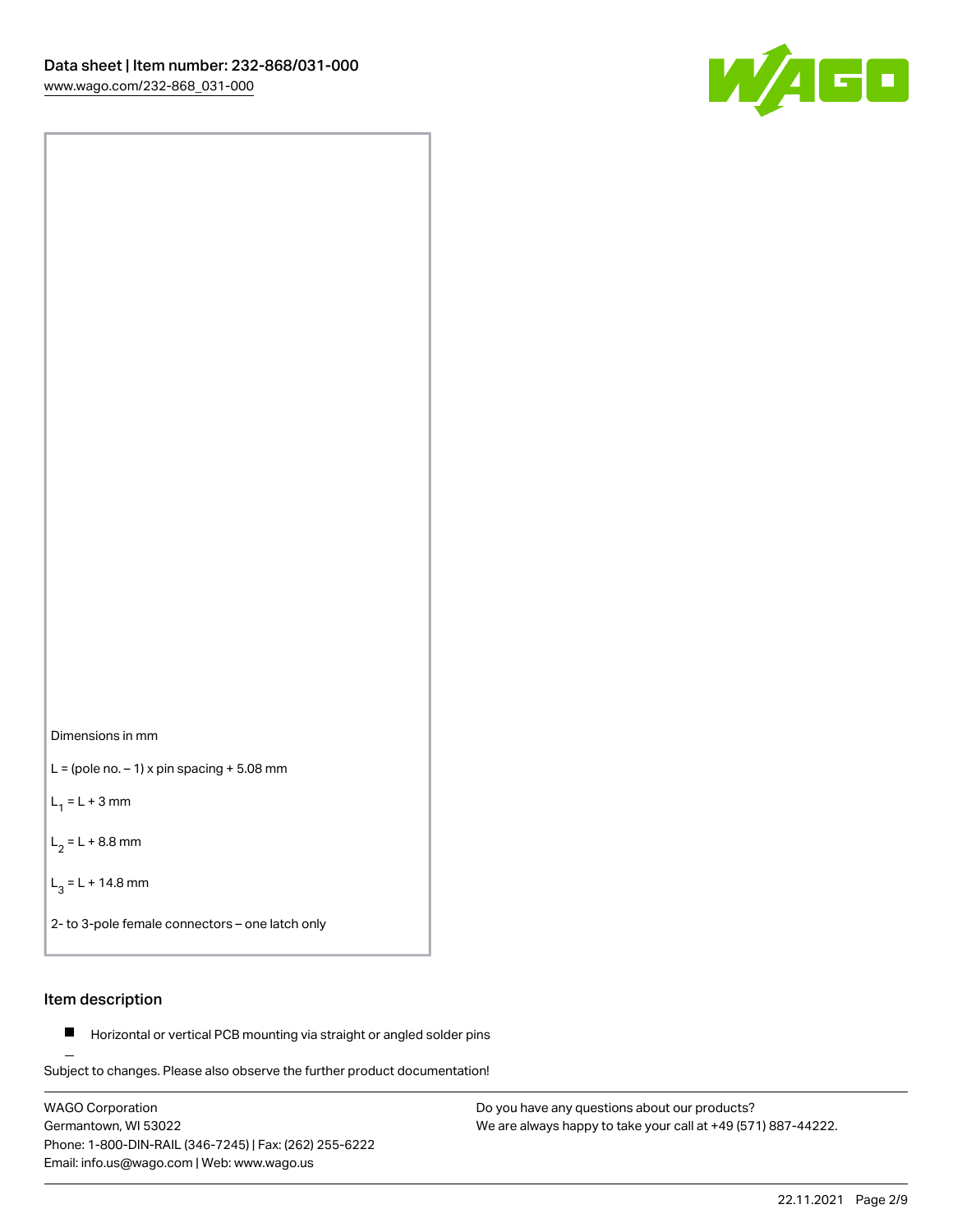



 $L =$  (pole no.  $-1$ ) x pin spacing  $+5.08$  mm

 $L_1 = L + 3$  mm

 $L_2 = L + 8.8$  mm

 $L_3 = L + 14.8$  mm

2- to 3-pole female connectors – one latch only

# Item description

**Horizontal or vertical PCB mounting via straight or angled solder pins** 

Subject to changes. Please also observe the further product documentation! For board-to-board and board-to-wire connections

WAGO Corporation Germantown, WI 53022 Phone: 1-800-DIN-RAIL (346-7245) | Fax: (262) 255-6222 Email: info.us@wago.com | Web: www.wago.us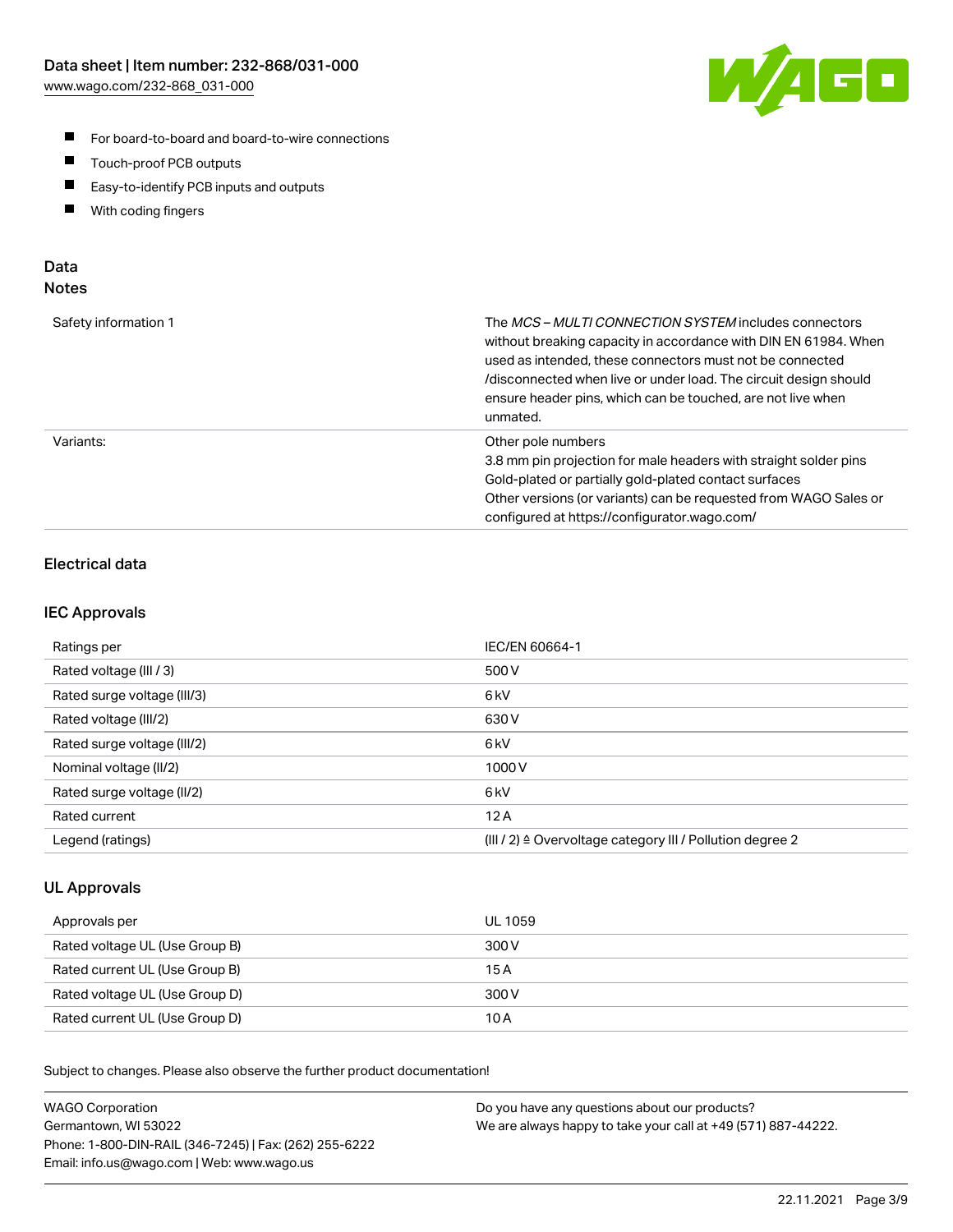

- For board-to-board and board-to-wire connections
- $\blacksquare$ Touch-proof PCB outputs
- $\blacksquare$ Easy-to-identify PCB inputs and outputs
- $\blacksquare$ With coding fingers

# Data **Notes**

| Safety information 1 | The <i>MCS – MULTI CONNECTION SYSTEM</i> includes connectors<br>without breaking capacity in accordance with DIN EN 61984. When<br>used as intended, these connectors must not be connected<br>/disconnected when live or under load. The circuit design should<br>ensure header pins, which can be touched, are not live when<br>unmated. |
|----------------------|--------------------------------------------------------------------------------------------------------------------------------------------------------------------------------------------------------------------------------------------------------------------------------------------------------------------------------------------|
| Variants:            | Other pole numbers<br>3.8 mm pin projection for male headers with straight solder pins<br>Gold-plated or partially gold-plated contact surfaces<br>Other versions (or variants) can be requested from WAGO Sales or<br>configured at https://configurator.wago.com/                                                                        |

# Electrical data

## IEC Approvals

| Ratings per                 | IEC/EN 60664-1                                                        |
|-----------------------------|-----------------------------------------------------------------------|
| Rated voltage (III / 3)     | 500 V                                                                 |
| Rated surge voltage (III/3) | 6 <sub>kV</sub>                                                       |
| Rated voltage (III/2)       | 630 V                                                                 |
| Rated surge voltage (III/2) | 6 <sub>kV</sub>                                                       |
| Nominal voltage (II/2)      | 1000 V                                                                |
| Rated surge voltage (II/2)  | 6 <sub>kV</sub>                                                       |
| Rated current               | 12A                                                                   |
| Legend (ratings)            | $(III / 2)$ $\triangle$ Overvoltage category III / Pollution degree 2 |

## UL Approvals

| Approvals per                  | UL 1059 |
|--------------------------------|---------|
| Rated voltage UL (Use Group B) | 300 V   |
| Rated current UL (Use Group B) | 15 A    |
| Rated voltage UL (Use Group D) | 300 V   |
| Rated current UL (Use Group D) | 10 A    |

Subject to changes. Please also observe the further product documentation!

| <b>WAGO Corporation</b>                                | Do you have any questions about our products?                 |
|--------------------------------------------------------|---------------------------------------------------------------|
| Germantown, WI 53022                                   | We are always happy to take your call at +49 (571) 887-44222. |
| Phone: 1-800-DIN-RAIL (346-7245)   Fax: (262) 255-6222 |                                                               |
| Email: info.us@wago.com   Web: www.wago.us             |                                                               |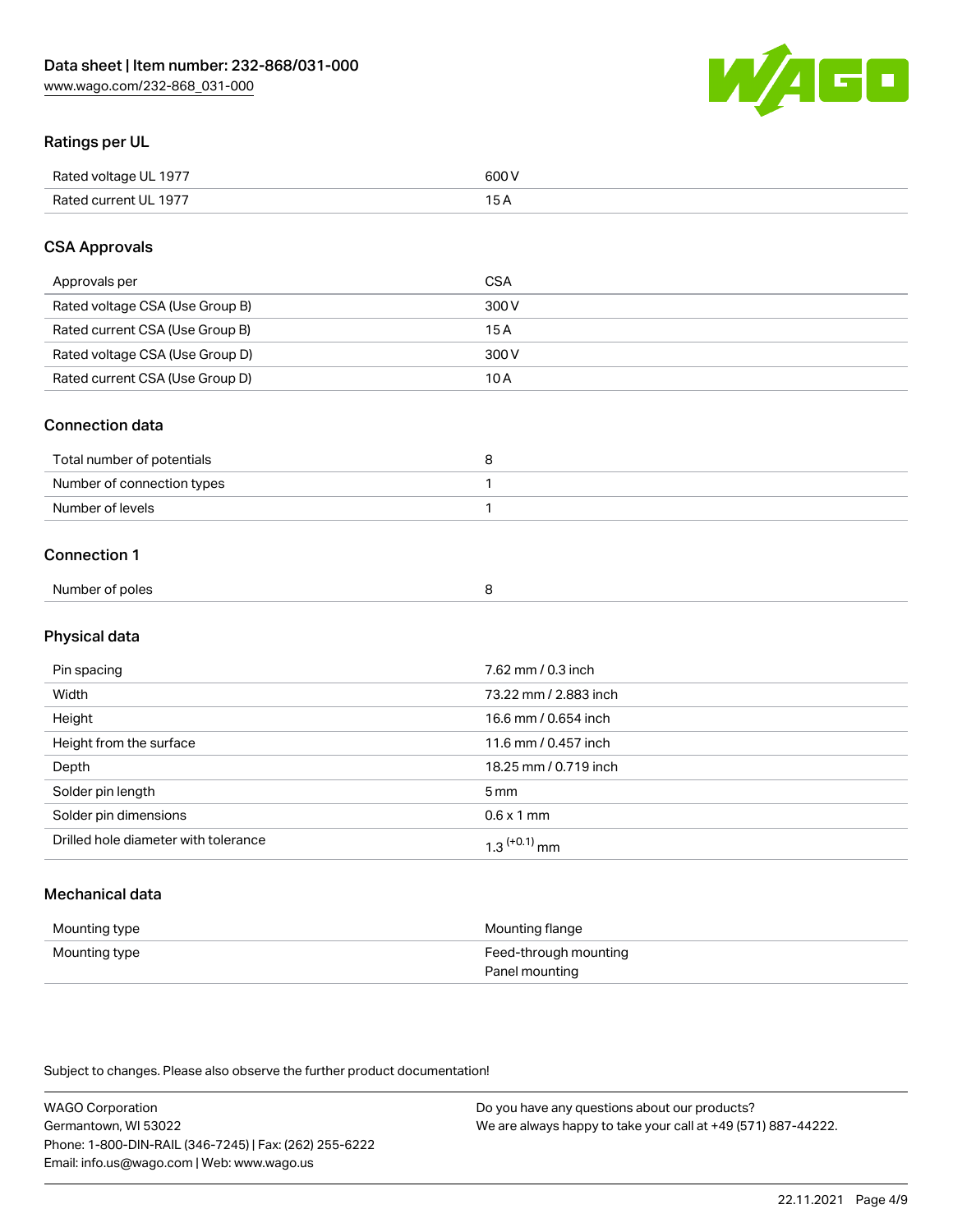

# Ratings per UL

| Rated voltage UL 1977  | coo 1 |
|------------------------|-------|
| <b>Rate</b><br>III 197 | ັ     |

# CSA Approvals

| Approvals per                   | CSA   |
|---------------------------------|-------|
| Rated voltage CSA (Use Group B) | 300 V |
| Rated current CSA (Use Group B) | 15 A  |
| Rated voltage CSA (Use Group D) | 300 V |
| Rated current CSA (Use Group D) | 10 A  |

### Connection data

| Total number of potentials |  |
|----------------------------|--|
| Number of connection types |  |
| Number of levels           |  |

### Connection 1

| Number of poles |  |
|-----------------|--|
|                 |  |

# Physical data

| Pin spacing                          | 7.62 mm / 0.3 inch    |
|--------------------------------------|-----------------------|
| Width                                | 73.22 mm / 2.883 inch |
| Height                               | 16.6 mm / 0.654 inch  |
| Height from the surface              | 11.6 mm / 0.457 inch  |
| Depth                                | 18.25 mm / 0.719 inch |
| Solder pin length                    | 5 <sub>mm</sub>       |
| Solder pin dimensions                | $0.6 \times 1$ mm     |
| Drilled hole diameter with tolerance | $1.3$ $(+0.1)$ mm     |

# Mechanical data

| Mounting type | Mounting flange                         |
|---------------|-----------------------------------------|
| Mounting type | Feed-through mounting<br>Panel mounting |

Subject to changes. Please also observe the further product documentation!

| <b>WAGO Corporation</b>                                | Do you have any questions about our products?                 |
|--------------------------------------------------------|---------------------------------------------------------------|
| Germantown, WI 53022                                   | We are always happy to take your call at +49 (571) 887-44222. |
| Phone: 1-800-DIN-RAIL (346-7245)   Fax: (262) 255-6222 |                                                               |
| Email: info.us@wago.com   Web: www.wago.us             |                                                               |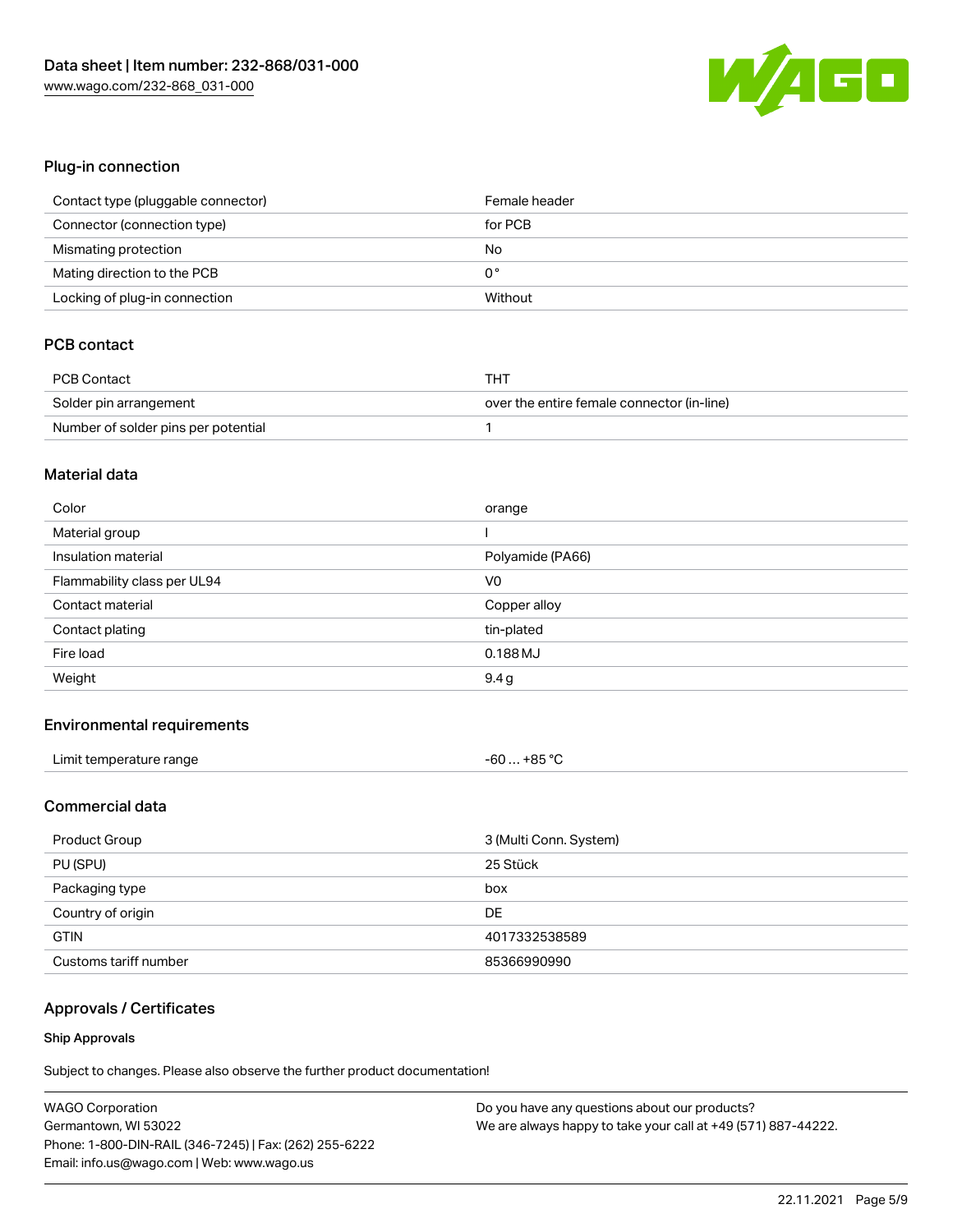

# Plug-in connection

| Contact type (pluggable connector) | Female header |
|------------------------------------|---------------|
| Connector (connection type)        | for PCB       |
| Mismating protection               | No            |
| Mating direction to the PCB        | 0°            |
| Locking of plug-in connection      | Without       |

# PCB contact

| <b>PCB Contact</b>                  | THT                                        |
|-------------------------------------|--------------------------------------------|
| Solder pin arrangement              | over the entire female connector (in-line) |
| Number of solder pins per potential |                                            |

#### Material data

| Color                       | orange           |
|-----------------------------|------------------|
| Material group              |                  |
| Insulation material         | Polyamide (PA66) |
| Flammability class per UL94 | V <sub>0</sub>   |
| Contact material            | Copper alloy     |
|                             |                  |
| Contact plating             | tin-plated       |
| Fire load                   | $0.188$ MJ       |

### Environmental requirements

| Limit temperature range | +85 °C<br>-60 |
|-------------------------|---------------|
|-------------------------|---------------|

# Commercial data

| Product Group         | 3 (Multi Conn. System) |
|-----------------------|------------------------|
| PU (SPU)              | 25 Stück               |
| Packaging type        | box                    |
| Country of origin     | DE                     |
| <b>GTIN</b>           | 4017332538589          |
| Customs tariff number | 85366990990            |

# Approvals / Certificates

#### Ship Approvals

Subject to changes. Please also observe the further product documentation!

| <b>WAGO Corporation</b>                                | Do you have any questions about our products?                 |
|--------------------------------------------------------|---------------------------------------------------------------|
| Germantown, WI 53022                                   | We are always happy to take your call at +49 (571) 887-44222. |
| Phone: 1-800-DIN-RAIL (346-7245)   Fax: (262) 255-6222 |                                                               |
| Email: info.us@wago.com   Web: www.wago.us             |                                                               |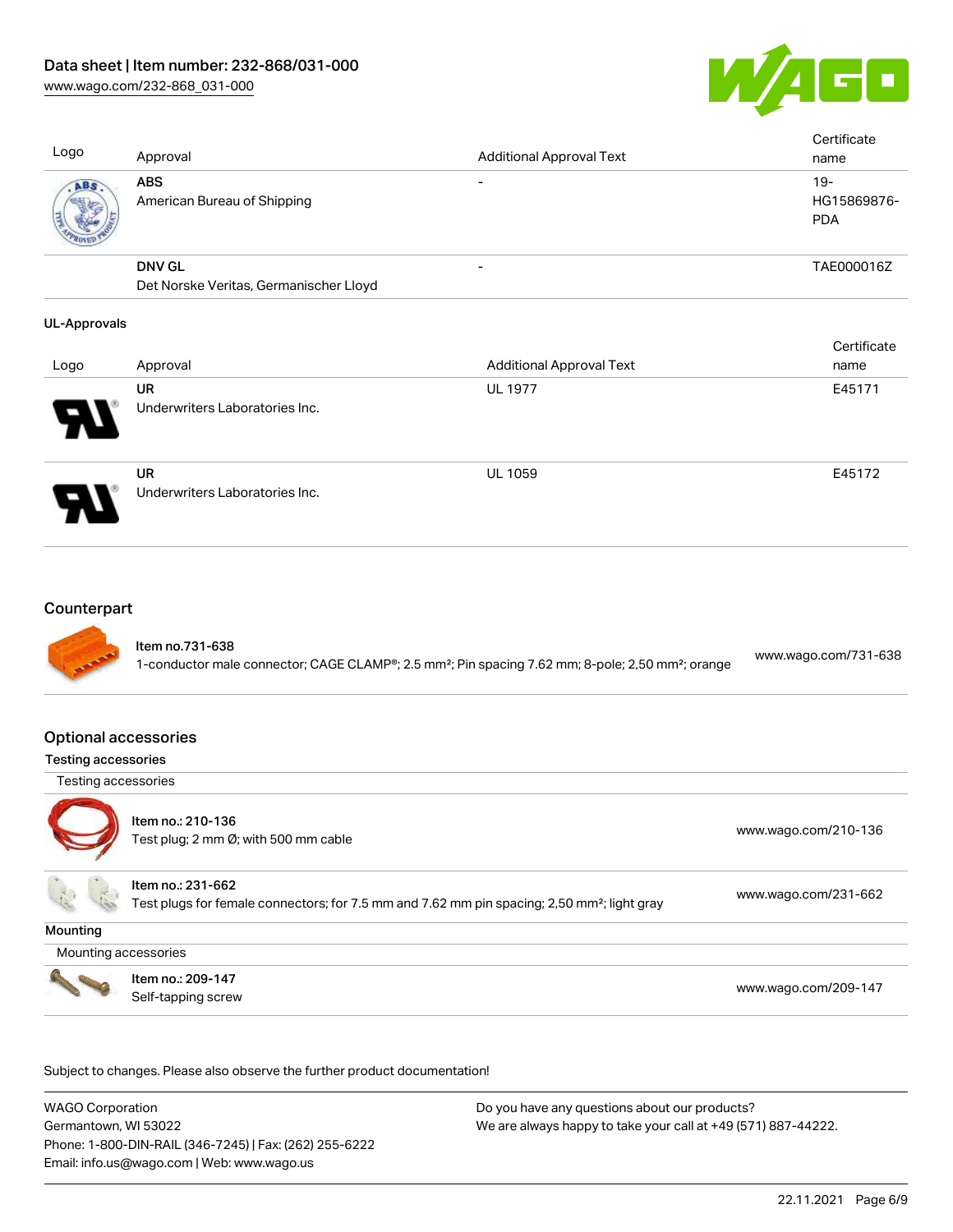

Cortificate

Logo Approval Approval Additional Approval Text **Certificate** name ABS American Bureau of Shipping - 19-HG15869876- PDA DNV GL Det Norske Veritas, Germanischer Lloyd - TAE000016Z

## UL-Approvals

|                            |                                             |                                 | <b>Celullcate</b> |
|----------------------------|---------------------------------------------|---------------------------------|-------------------|
| Logo                       | Approval                                    | <b>Additional Approval Text</b> | name              |
|                            | UR                                          | <b>UL 1977</b>                  | E45171            |
| $\boldsymbol{\mathcal{P}}$ | Underwriters Laboratories Inc.              |                                 |                   |
| P.                         | <b>UR</b><br>Underwriters Laboratories Inc. | <b>UL 1059</b>                  | E45172            |

# **Counterpart**



### Optional accessories

### Testing accessories

Testing accessories



Item no.: 210-136 ntem no.: 210 100<br>Test plug; 2 mm Ø; with 500 mm cable [www.wago.com/210-136](http://www.wago.com/210-136)

Item no.: 231-662

Test plugs for female connectors; for 7.5 mm and 7.62 mm pin spacing; 2,50 mm²; light gray [www.wago.com/231-662](http://www.wago.com/231-662)

**Mounting** 

Mounting accessories



Item no.: 209-147 Next Trefficient Control 2001 147<br>Self-tapping screw [www.wago.com/209-147](http://www.wago.com/209-147)

Subject to changes. Please also observe the further product documentation!

WAGO Corporation Germantown, WI 53022 Phone: 1-800-DIN-RAIL (346-7245) | Fax: (262) 255-6222 Email: info.us@wago.com | Web: www.wago.us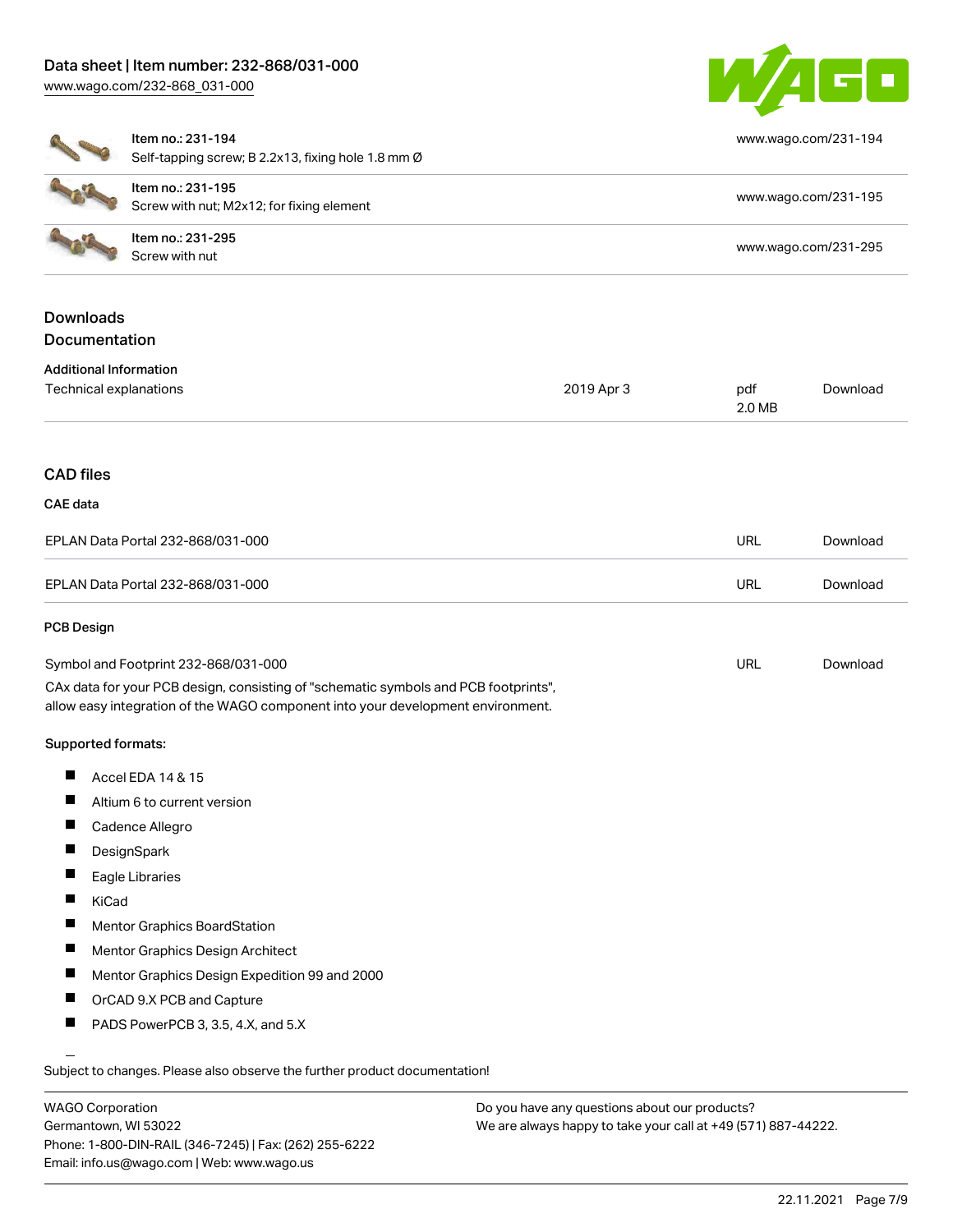

[www.wago.com/231-194](http://www.wago.com/231-194)

| Ito<br>$S_6$ |
|--------------|
| Ito          |

elf-tapping screw; B 2.2x13, fixing hole 1.8 mm  $\varnothing$ 

| ltem no.: 231-195<br>Screw with nut; M2x12; for fixing element | www.wago.com/231-195 |
|----------------------------------------------------------------|----------------------|
| Item no.: 231-295<br>Screw with nut                            | www.wago.com/231-295 |

# Downloads **Documentation**

| <b>Additional Information</b> |  |
|-------------------------------|--|
|-------------------------------|--|

| Technical explanations                                                                                                                                                 | 2019 Apr 3 | pdf<br>2.0 MB | Download |
|------------------------------------------------------------------------------------------------------------------------------------------------------------------------|------------|---------------|----------|
| <b>CAD files</b>                                                                                                                                                       |            |               |          |
| <b>CAE</b> data                                                                                                                                                        |            |               |          |
| EPLAN Data Portal 232-868/031-000                                                                                                                                      |            | <b>URL</b>    | Download |
| EPLAN Data Portal 232-868/031-000                                                                                                                                      |            | <b>URL</b>    | Download |
| <b>PCB Design</b>                                                                                                                                                      |            |               |          |
| Symbol and Footprint 232-868/031-000                                                                                                                                   |            | <b>URL</b>    | Download |
| CAx data for your PCB design, consisting of "schematic symbols and PCB footprints",<br>allow easy integration of the WAGO component into your development environment. |            |               |          |
| Supported formats:                                                                                                                                                     |            |               |          |
| Accel EDA 14 & 15<br>ш                                                                                                                                                 |            |               |          |
| ш<br>Altium 6 to current version                                                                                                                                       |            |               |          |
| ш<br>Cadence Allegro                                                                                                                                                   |            |               |          |

- **DesignSpark** П
- П Eagle Libraries
- $\blacksquare$ KiCad
- $\blacksquare$ Mentor Graphics BoardStation
- $\blacksquare$ Mentor Graphics Design Architect
- $\blacksquare$ Mentor Graphics Design Expedition 99 and 2000
- $\blacksquare$ OrCAD 9.X PCB and Capture
- П PADS PowerPCB 3, 3.5, 4.X, and 5.X

Subject to changes. Please also observe the further product documentation!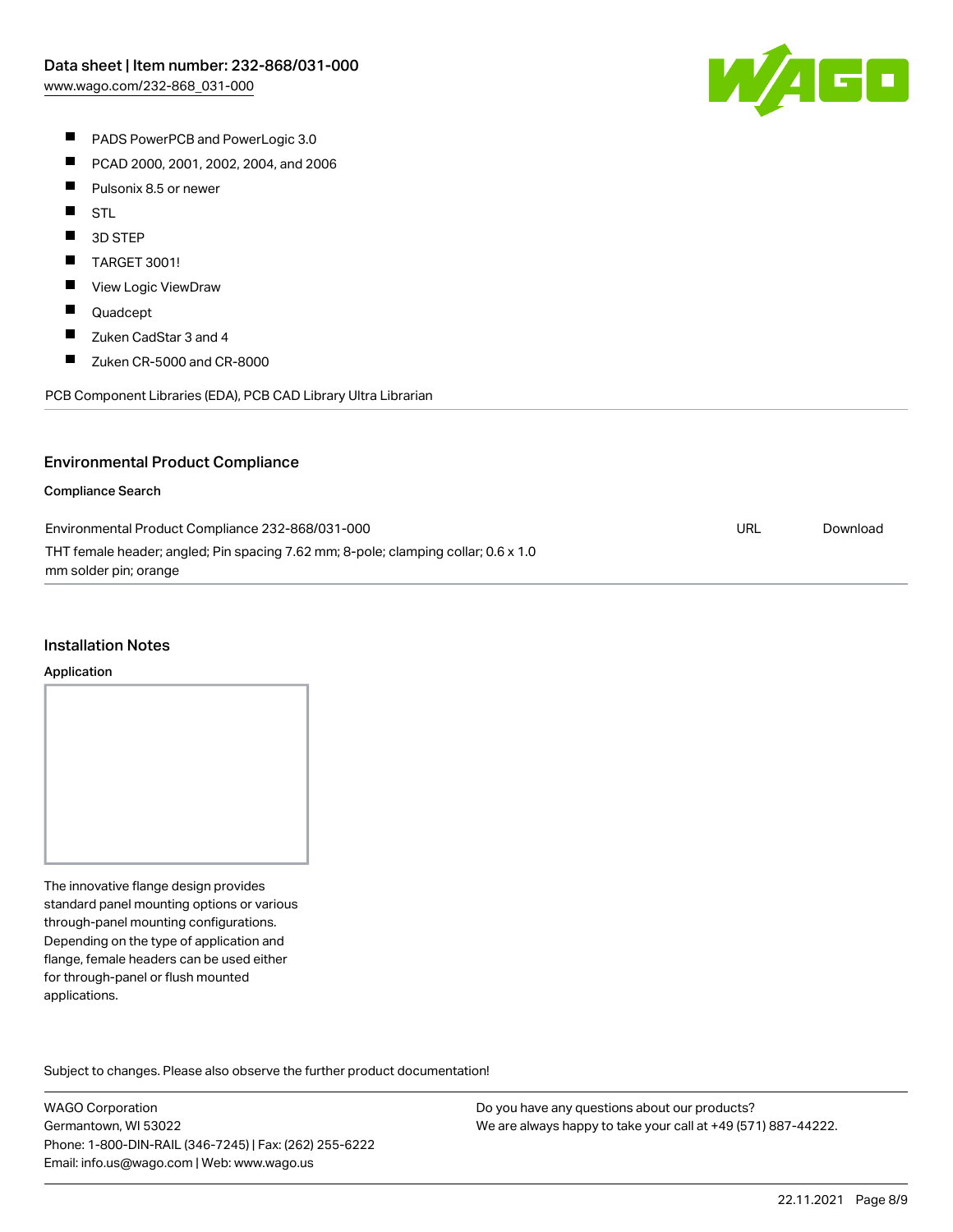

- **PADS PowerPCB and PowerLogic 3.0**
- $\blacksquare$ PCAD 2000, 2001, 2002, 2004, and 2006
- $\blacksquare$ Pulsonix 8.5 or newer
- $\blacksquare$ STL
- $\blacksquare$ 3D STEP
- $\blacksquare$ TARGET 3001!
- $\blacksquare$ View Logic ViewDraw
- $\blacksquare$ Quadcept
- $\blacksquare$ Zuken CadStar 3 and 4
- $\blacksquare$ Zuken CR-5000 and CR-8000

PCB Component Libraries (EDA), PCB CAD Library Ultra Librarian

### Environmental Product Compliance

#### Compliance Search

| Environmental Product Compliance 232-868/031-000                                   | URL | Download |
|------------------------------------------------------------------------------------|-----|----------|
| THT female header; angled; Pin spacing 7.62 mm; 8-pole; clamping collar; 0.6 x 1.0 |     |          |
| mm solder pin; orange                                                              |     |          |

#### Installation Notes

#### Application

The innovative flange design provides standard panel mounting options or various through-panel mounting configurations. Depending on the type of application and flange, female headers can be used either for through-panel or flush mounted applications.

Subject to changes. Please also observe the further product documentation! Product family

WAGO Corporation Germantown, WI 53022 Phone: 1-800-DIN-RAIL (346-7245) | Fax: (262) 255-6222 Email: info.us@wago.com | Web: www.wago.us